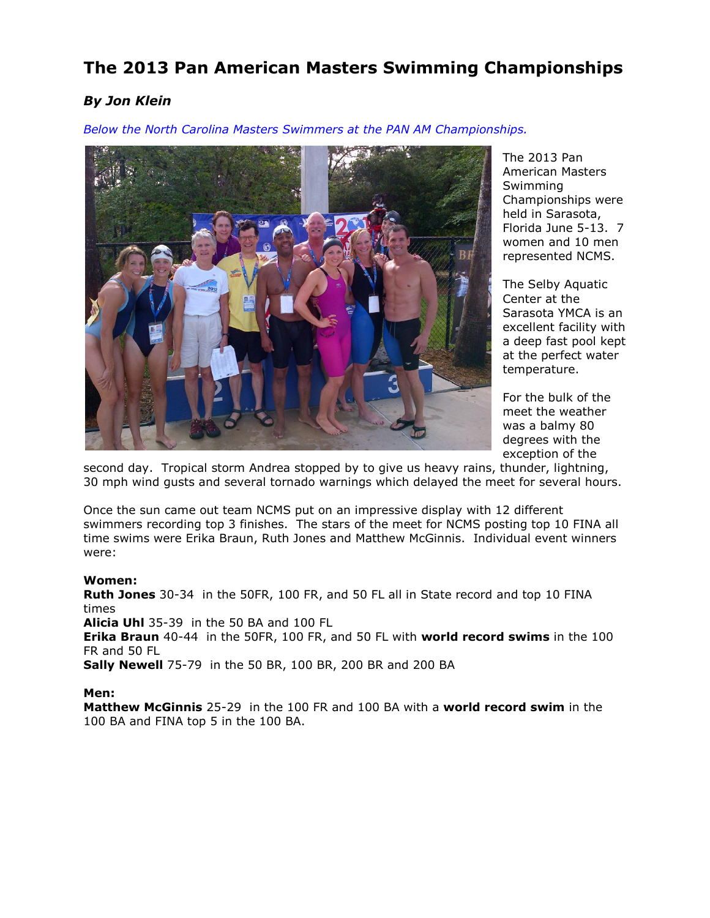# **The 2013 Pan American Masters Swimming Championships**

# *By Jon Klein*

*Below the North Carolina Masters Swimmers at the PAN AM Championships.*



The 2013 Pan American Masters Swimming Championships were held in Sarasota, Florida June 5-13. 7 women and 10 men represented NCMS.

The Selby Aquatic Center at the Sarasota YMCA is an excellent facility with a deep fast pool kept at the perfect water temperature.

For the bulk of the meet the weather was a balmy 80 degrees with the exception of the

second day. Tropical storm Andrea stopped by to give us heavy rains, thunder, lightning, 30 mph wind gusts and several tornado warnings which delayed the meet for several hours.

Once the sun came out team NCMS put on an impressive display with 12 different swimmers recording top 3 finishes. The stars of the meet for NCMS posting top 10 FINA all time swims were Erika Braun, Ruth Jones and Matthew McGinnis. Individual event winners were:

#### **Women:**

**Ruth Jones** 30-34 in the 50FR, 100 FR, and 50 FL all in State record and top 10 FINA times

**Alicia Uhl** 35-39 in the 50 BA and 100 FL

**Erika Braun** 40-44 in the 50FR, 100 FR, and 50 FL with **world record swims** in the 100 FR and 50 FL

**Sally Newell** 75-79 in the 50 BR, 100 BR, 200 BR and 200 BA

#### **Men:**

**Matthew McGinnis** 25-29 in the 100 FR and 100 BA with a **world record swim** in the 100 BA and FINA top 5 in the 100 BA.